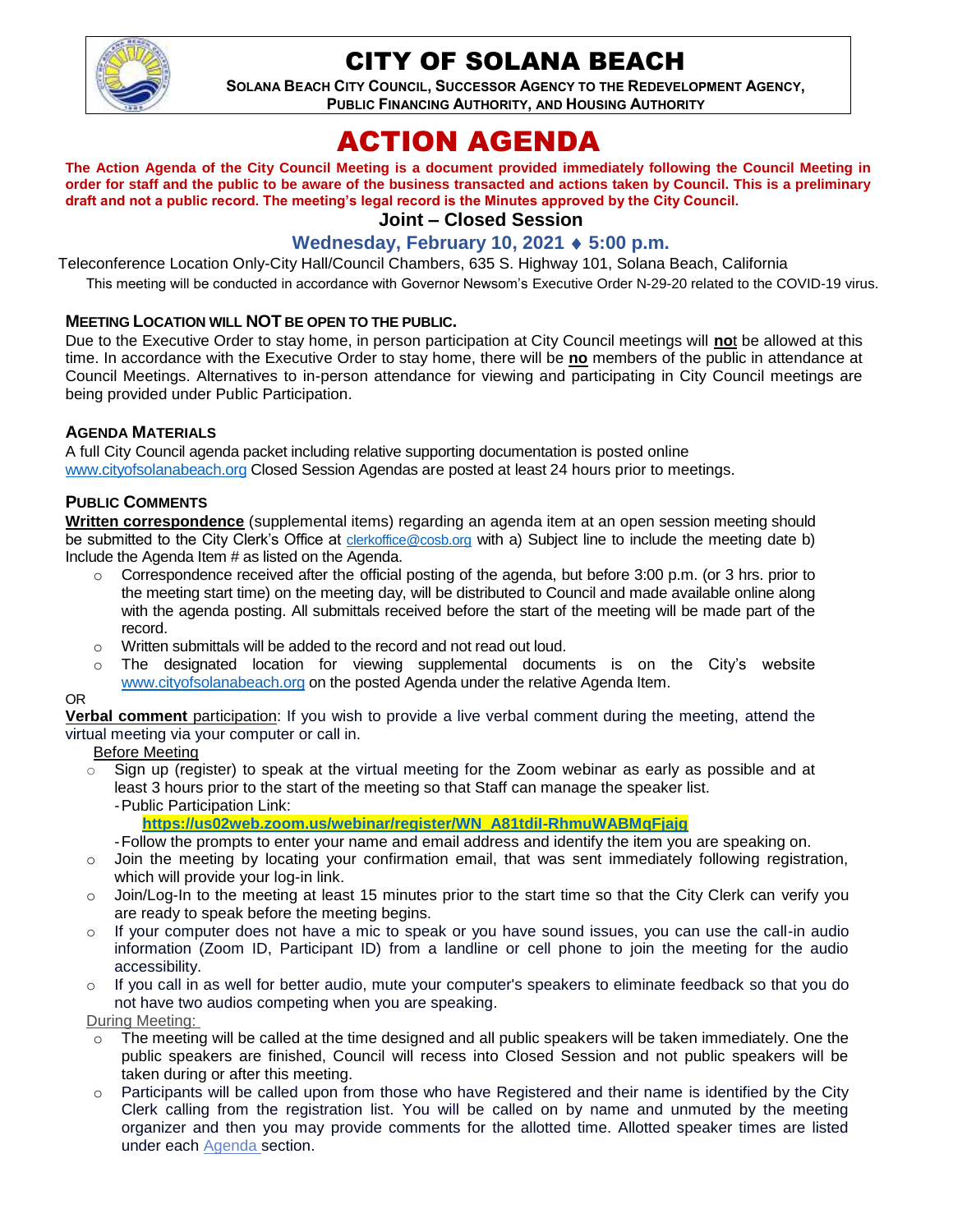

# CITY OF SOLANA BEACH

**SOLANA BEACH CITY COUNCIL, SUCCESSOR AGENCY TO THE REDEVELOPMENT AGENCY, PUBLIC FINANCING AUTHORITY, AND HOUSING AUTHORITY** 

# ACTION AGENDA

#### **The Action Agenda of the City Council Meeting is a document provided immediately following the Council Meeting in order for staff and the public to be aware of the business transacted and actions taken by Council. This is a preliminary draft and not a public record. The meeting's legal record is the Minutes approved by the City Council.**

**Joint – Closed Session**

# **Wednesday, February 10, 2021 5:00 p.m.**

Teleconference Location Only-City Hall/Council Chambers, 635 S. Highway 101, Solana Beach, California

This meeting will be conducted in accordance with Governor Newsom's Executive Order N-29-20 related to the COVID-19 virus.

#### **MEETING LOCATION WILL NOT BE OPEN TO THE PUBLIC.**

Due to the Executive Order to stay home, in person participation at City Council meetings will **no**t be allowed at this time. In accordance with the Executive Order to stay home, there will be **no** members of the public in attendance at Council Meetings. Alternatives to in-person attendance for viewing and participating in City Council meetings are being provided under Public Participation.

#### **AGENDA MATERIALS**

A full City Council agenda packet including relative supporting documentation is posted online [www.cityofsolanabeach.org](https://urldefense.proofpoint.com/v2/url?u=http-3A__www.cityofsolanabeach.org&d=DwQFAg&c=euGZstcaTDllvimEN8b7jXrwqOf-v5A_CdpgnVfiiMM&r=1XAsCUuqwK_tji2t0s1uIQ&m=wny2RVfZJ2tN24LkqZmkUWNpwL_peNtTZUBlTBZiMM4&s=6ATguqxJUOD7VVtloplAbyuyNaVcEh6Fl4q1iw55lCY&e=) Closed Session Agendas are posted at least 24 hours prior to meetings.

#### **PUBLIC COMMENTS**

**Written correspondence** (supplemental items) regarding an agenda item at an open session meeting should be submitted to the City Clerk's Office at *[clerkoffice@cosb.org](mailto:clerkoffice@cosb.org)* with a) Subject line to include the meeting date b) Include the Agenda Item # as listed on the Agenda.

- $\circ$  Correspondence received after the official posting of the agenda, but before 3:00 p.m. (or 3 hrs. prior to the meeting start time) on the meeting day, will be distributed to Council and made available online along with the agenda posting. All submittals received before the start of the meeting will be made part of the record.
- o Written submittals will be added to the record and not read out loud.
- $\circ$  The designated location for viewing supplemental documents is on the City's website [www.cityofsolanabeach.org](http://www.cityofsolanabeach.org/) on the posted Agenda under the relative Agenda Item.

#### OR

**Verbal comment** participation: If you wish to provide a live verbal comment during the meeting, attend the virtual meeting via your computer or call in.

#### Before Meeting

 $\circ$  Sign up (register) to speak at the virtual meeting for the Zoom webinar as early as possible and at least 3 hours prior to the start of the meeting so that Staff can manage the speaker list. -Public Participation Link:

**[https://us02web.zoom.us/webinar/register/WN\\_A81tdiI-RhmuWABMqFjajg](https://us02web.zoom.us/webinar/register/WN_A81tdiI-RhmuWABMqFjajg)**

- -Follow the prompts to enter your name and email address and identify the item you are speaking on.
- $\circ$  Join the meeting by locating your confirmation email, that was sent immediately following registration, which will provide your log-in link.
- o Join/Log-In to the meeting at least 15 minutes prior to the start time so that the City Clerk can verify you are ready to speak before the meeting begins.
- $\circ$  If your computer does not have a mic to speak or you have sound issues, you can use the call-in audio information (Zoom ID, Participant ID) from a landline or cell phone to join the meeting for the audio accessibility.
- $\circ$  If you call in as well for better audio, mute your computer's speakers to eliminate feedback so that you do not have two audios competing when you are speaking.

During Meeting:

- $\circ$  The meeting will be called at the time designed and all public speakers will be taken immediately. One the public speakers are finished, Council will recess into Closed Session and not public speakers will be taken during or after this meeting.
- o Participants will be called upon from those who have Registered and their name is identified by the City Clerk calling from the registration list. You will be called on by name and unmuted by the meeting organizer and then you may provide comments for the allotted time. Allotted speaker times are listed under each [Agenda s](https://urldefense.proofpoint.com/v2/url?u=https-3A__www.ci.solana-2Dbeach.ca.us_index.asp-3FSEC-3DF0F1200D-2D21C6-2D4A88-2D8AE1-2D0BC07C1A81A7-26Type-3DB-5FBASIC&d=DwMFaQ&c=euGZstcaTDllvimEN8b7jXrwqOf-v5A_CdpgnVfiiMM&r=1XAsCUuqwK_tji2t0s1uIQ&m=C7WzXfOw2_nkEFMJClT55zZsF4tmIf_7KTn0o1WpYqI&s=3DcsWExM2_nx_xpvFtXslUjphiXd0MDCCF18y_Qy5yU&e=)ection.